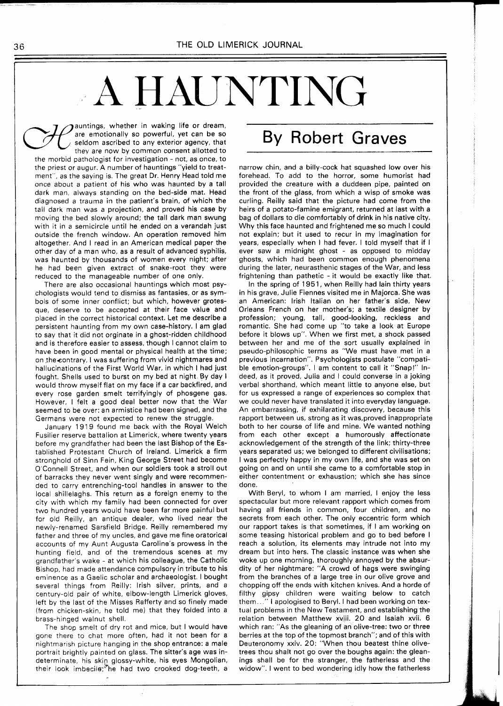## A HAUNTING

auntings, whether in waking life or dream, are emotionally so powerful, yet can be so seldom ascribed to any exterior agency, that they are now by common consent allotted to the morbid pathologist for investigation - not, as once, to the priest or augur. A number of hauntings "yield to treatment", as the saying is. The great Dr. Henry Head told me once about a patient of his who was haunted by a tall dark man, always standing on the bed-side mat. Head diagnosed a trauma in the patient's brain, of which the tall dark man was a projection, and proved his case by moving the bed slowly around; the tall dark man swung with it in a semicircle until he ended on a verandah just outside the french window. An operation removed him altogether. And I read in an American medical paper the other day of a man who, as a result of advanced syphilis, was haunted by thousands of women every night; after he had been given extract of snake-root they were reduced to the manageable number of one only.

There are also occasional hauntings which most psychologists would tend to dismiss as fantasies, or as symbols of some inner conflict; but which, however grotesque, deserve to be accepted at their face value and placed in the correct historical context. Let me describe a persistent haunting from my own case-history. I am glad to say that it did not orginate in a ghost-ridden childhood and is therefore easier to assess, though I cannot claim to have been in good mental or physical health at the time; on the contrary, I was suffering from vivid nightmares and hallucinations of the First World War, in which I had just fought. Shells used to burst on my bed at night. Ey day I would throw myself flat on my face if a car backfired, and every rose garden smelt terrifyingly of phosgene gas. However, I felt a good deal better now that the War seemed to be over: an armistice had been signed, and the Germans were not expected to renew the struggle.

January 1919 found me back with the Royal Welch Fusilier reserve battalion at Limerick, where twenty years before my grandfather had been the last Bishop of the Established Protestant Church of Ireland. Limerick a firm stronghold of Sinn Fein, King George Street had become O'Connell Street, and when our soldiers took a stroll out of barracks they never went singly and were recommended to carry entrenching-tool handles in answer to the local shillelaghs. This return as a foreign enemy to the city with which my family had been connected for over two hundred years would have been far more painful but for old Reilly, an antique dealer, who lived near the newly-renamed Sarsfield Bridge. Reilly remembered my father and three of my uncles, and gave me fine oratorical accounts of my Aunt Augusta Caroline's prowess in the hunting field, and of the tremendous scenes at my grandfather's wake - at which his colleague, the Catholic Bishop, had made attendance compulsory in tribute to his eminence as a Gaelic scholar and archaeologist. I bought several things from Reilly: lrish silver, prints, and a century-old pair of white, elbow-length Limerick gloves, left by the last of the Misses Rafferty and so finely made (from chicken-skin, he told me) that they folded into a brass-hinged walnut shell.

The shop smelt of dry rot and mice, but I would have gone there to chat more often, had it not been for a nightmarish picture hanging in the shop entrance: a male portrait brightly painted on glass. The sitter's age was indeterminate, his skin glossy-white, his eyes Mongolian, their look imbecile; he had two crooked dog-teeth, a

## By Robert Graves

narrow chin, and a billy-cock hat squashed low over his forehead. To add to the horror, some humorist had provided the creature with a duddeen pipe, painted on the front of the glass, from which a wisp of smoke was curling. Reilly said that the picture had come from the heirs of a potato-famine emigrant, returned at last with a bag of dollars to die comfortably of drink in his native city. Why this face haunted and frightened me so much I could not explain; but it used to recur in my imagination for years, especially when I had fever. I told myself that if I ever saw a midnight ghost - as opposed to midday ghosts, which had been common enough phenomena during the later, neurasthenic stages of the War, and less frightening than pathetic - it would be exactly like that.

In the spring of 1951, when Reilly had lain thirty years in his grave, Julie Fiennes visited me in Majorca. She was an American: lrish Italian on her father's side, New Orleans French on her mother's; a textile designer by profession; young, tall, good-looking, reckless and romantic. She had come up "to take a look at Europe before it blows up". When we first met, a shock passed between her and me of the sort usually explained in pseudo-philosophic terms as "We must have met in a previous incarnation". Psychologists postulate "compatible emotion-groups". I am content to call it "Snap!" Indeed, as it proved, Julia and I could converse in a joking verbal shorthand, which meant little to anyone else, but for us expressed a range of experiences so complex that we could never have translated it into everyday language. An embarrassing, if exhilarating discovery, because this rapport between us, strong as it was,proved inappropriate both to her course of life and mine. We wanted nothing from each other except a humorously affectionate acknowledgement of the strength of the link; thirty-three years separated us; we belonged to different civilisations; I was perfectly happy in my own life, and she was set on going on and on until she came to a comfortable stop in either contentment or exhaustion; which she has since done.

With Beryl, to whom I am married, I enjoy the less spectacular but more relevant rapport which comes from having all friends in common, four children, and no secrets from each other. The only eccentric form which our rapport takes is that sometimes, if I am working on some teasing historical problem and go to bed before I reach a solution, its elements may intrude not into my dream but into hers. The classic instance was when she woke up one morning, thoroughly annoyed by the absurdity of her nightmare: "A crowd of hags were swinging from the branches of a large tree in our olive grove and chopping off the ends with kitchen knives. And a horde of filthy gipsy children were waiting below to catch them..." I apologised to Beryl. I had been working on textual problems in the New Testament, and establishing the relation between Matthew xviii. 20 and Isaiah xvii. 6 which ran: "As the gleaning of an olive-tree: two or three berries at the top of the topmost branch"; and of this with Deuteronomy xxiv. 20: "When thou beatest thine olivetrees thou shalt not go over the boughs again: the gleanings shall be for the stranger, the fatherless and the widow". I went to bed wondering idly how the fatherless